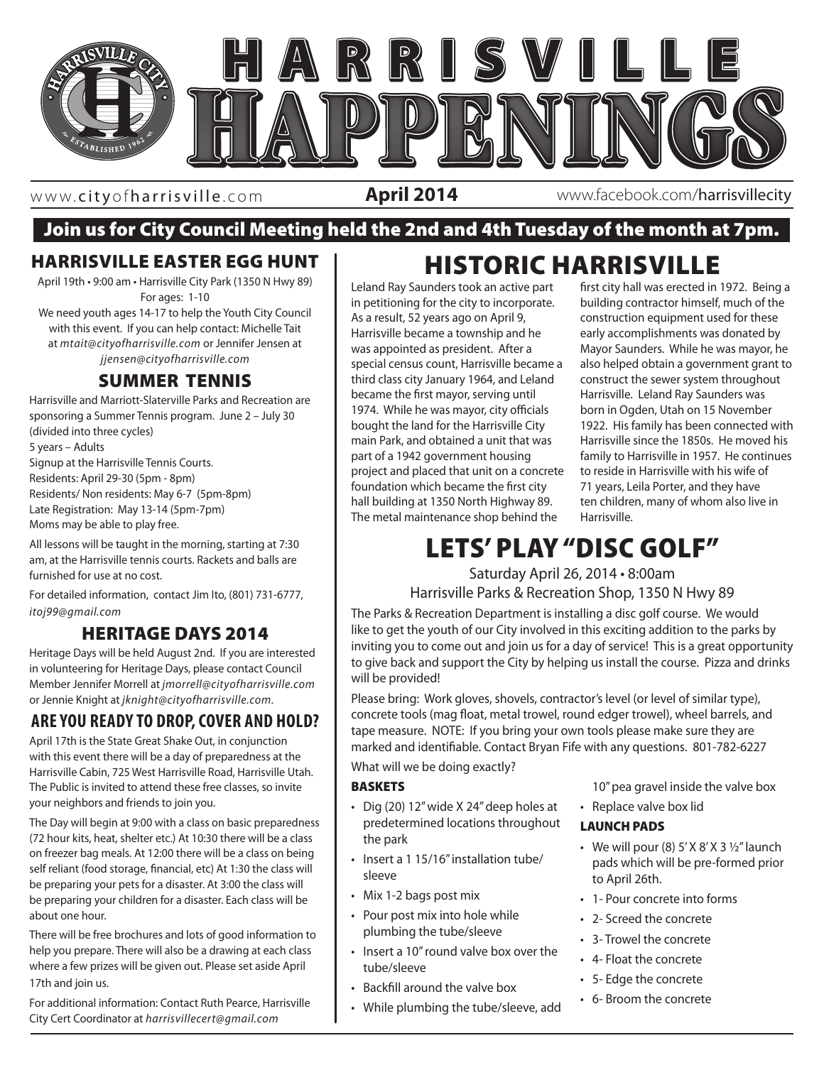

www. cityofharrisville .com

**April 2014** www.facebook.com/harrisvillecity

## Join us for City Council Meeting held the 2nd and 4th Tuesday of the month at 7pm.

### HARRISVILLE EASTER EGG HUNT

April 19th • 9:00 am • Harrisville City Park (1350 N Hwy 89) For ages: 1-10

We need youth ages 14-17 to help the Youth City Council with this event. If you can help contact: Michelle Tait at *mtait@cityofharrisville.com* or Jennifer Jensen at *jjensen@cityofharrisville.com*

## SUMMER TENNIS

Harrisville and Marriott-Slaterville Parks and Recreation are sponsoring a Summer Tennis program. June 2 – July 30 (divided into three cycles) 5 years – Adults Signup at the Harrisville Tennis Courts. Residents: April 29-30 (5pm - 8pm) Residents/ Non residents: May 6-7 (5pm-8pm) Late Registration: May 13-14 (5pm-7pm) Moms may be able to play free. All lessons will be taught in the morning, starting at 7:30

am, at the Harrisville tennis courts. Rackets and balls are furnished for use at no cost.

For detailed information, contact Jim Ito, (801) 731-6777, *itoj99@gmail.com*

## HERITAGE DAYS 2014

Heritage Days will be held August 2nd. If you are interested in volunteering for Heritage Days, please contact Council Member Jennifer Morrell at *jmorrell@cityofharrisville.com* or Jennie Knight at *jknight@cityofharrisville.com.*

## **ARE YOU READY TO DROP, COVER AND HOLD?**

April 17th is the State Great Shake Out, in conjunction with this event there will be a day of preparedness at the Harrisville Cabin, 725 West Harrisville Road, Harrisville Utah. The Public is invited to attend these free classes, so invite your neighbors and friends to join you.

The Day will begin at 9:00 with a class on basic preparedness (72 hour kits, heat, shelter etc.) At 10:30 there will be a class on freezer bag meals. At 12:00 there will be a class on being self reliant (food storage, financial, etc) At 1:30 the class will be preparing your pets for a disaster. At 3:00 the class will be preparing your children for a disaster. Each class will be about one hour.

There will be free brochures and lots of good information to help you prepare. There will also be a drawing at each class where a few prizes will be given out. Please set aside April 17th and join us.

For additional information: Contact Ruth Pearce, Harrisville City Cert Coordinator at *harrisvillecert@gmail.com*

# HISTORIC HARRISVILLE

Leland Ray Saunders took an active part in petitioning for the city to incorporate. As a result, 52 years ago on April 9, Harrisville became a township and he was appointed as president. After a special census count, Harrisville became a third class city January 1964, and Leland became the first mayor, serving until 1974. While he was mayor, city officials bought the land for the Harrisville City main Park, and obtained a unit that was part of a 1942 government housing project and placed that unit on a concrete foundation which became the first city hall building at 1350 North Highway 89. The metal maintenance shop behind the

first city hall was erected in 1972. Being a building contractor himself, much of the construction equipment used for these early accomplishments was donated by Mayor Saunders. While he was mayor, he also helped obtain a government grant to construct the sewer system throughout Harrisville. Leland Ray Saunders was born in Ogden, Utah on 15 November 1922. His family has been connected with Harrisville since the 1850s. He moved his family to Harrisville in 1957. He continues to reside in Harrisville with his wife of 71 years, Leila Porter, and they have ten children, many of whom also live in Harrisville.

# | LETS' PLAY "DISC GOLF"

Saturday April 26, 2014 • 8:00am Harrisville Parks & Recreation Shop, 1350 N Hwy 89

The Parks & Recreation Department is installing a disc golf course. We would like to get the youth of our City involved in this exciting addition to the parks by inviting you to come out and join us for a day of service! This is a great opportunity to give back and support the City by helping us install the course. Pizza and drinks will be provided!

Please bring: Work gloves, shovels, contractor's level (or level of similar type), concrete tools (mag float, metal trowel, round edger trowel), wheel barrels, and tape measure. NOTE: If you bring your own tools please make sure they are marked and identifiable. Contact Bryan Fife with any questions. 801-782-6227

What will we be doing exactly?

#### BASKETS

- Dig (20) 12" wide X 24" deep holes at predetermined locations throughout the park
- Insert a 1 15/16" installation tube/ sleeve
- Mix 1-2 bags post mix
- Pour post mix into hole while plumbing the tube/sleeve
- Insert a 10" round valve box over the tube/sleeve
- Backfill around the valve box
- While plumbing the tube/sleeve, add

10" pea gravel inside the valve box

• Replace valve box lid

#### LAUNCH PADS

- We will pour (8)  $5'$  X  $8'$  X 3  $\frac{1}{2}''$  launch pads which will be pre-formed prior to April 26th.
- 1- Pour concrete into forms
- 2- Screed the concrete
- 3- Trowel the concrete
- 4- Float the concrete
- 5- Edge the concrete
- 6- Broom the concrete